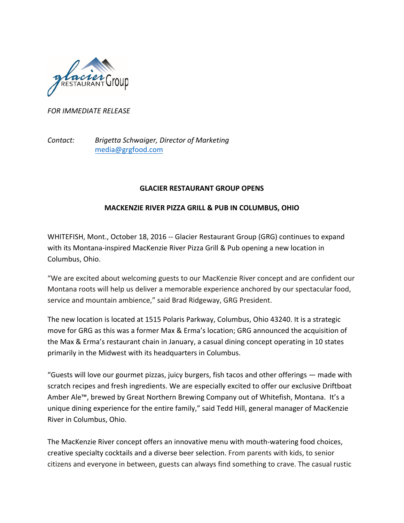

## *FOR IMMEDIATE RELEASE*

*Contact: Brigetta Schwaiger, Director of Marketing* media@grgfood.com

## **GLACIER RESTAURANT GROUP OPENS**

## **MACKENZIE RIVER PIZZA GRILL & PUB IN COLUMBUS, OHIO**

WHITEFISH, Mont., October 18, 2016 -- Glacier Restaurant Group (GRG) continues to expand with its Montana-inspired MacKenzie River Pizza Grill & Pub opening a new location in Columbus, Ohio.

"We are excited about welcoming guests to our MacKenzie River concept and are confident our Montana roots will help us deliver a memorable experience anchored by our spectacular food, service and mountain ambience," said Brad Ridgeway, GRG President.

The new location is located at 1515 Polaris Parkway, Columbus, Ohio 43240. It is a strategic move for GRG as this was a former Max & Erma's location; GRG announced the acquisition of the Max & Erma's restaurant chain in January, a casual dining concept operating in 10 states primarily in the Midwest with its headquarters in Columbus.

"Guests will love our gourmet pizzas, juicy burgers, fish tacos and other offerings  $-$  made with scratch recipes and fresh ingredients. We are especially excited to offer our exclusive Driftboat Amber Ale™, brewed by Great Northern Brewing Company out of Whitefish, Montana. It's a unique dining experience for the entire family," said Tedd Hill, general manager of MacKenzie River in Columbus, Ohio.

The MacKenzie River concept offers an innovative menu with mouth-watering food choices, creative specialty cocktails and a diverse beer selection. From parents with kids, to senior citizens and everyone in between, guests can always find something to crave. The casual rustic